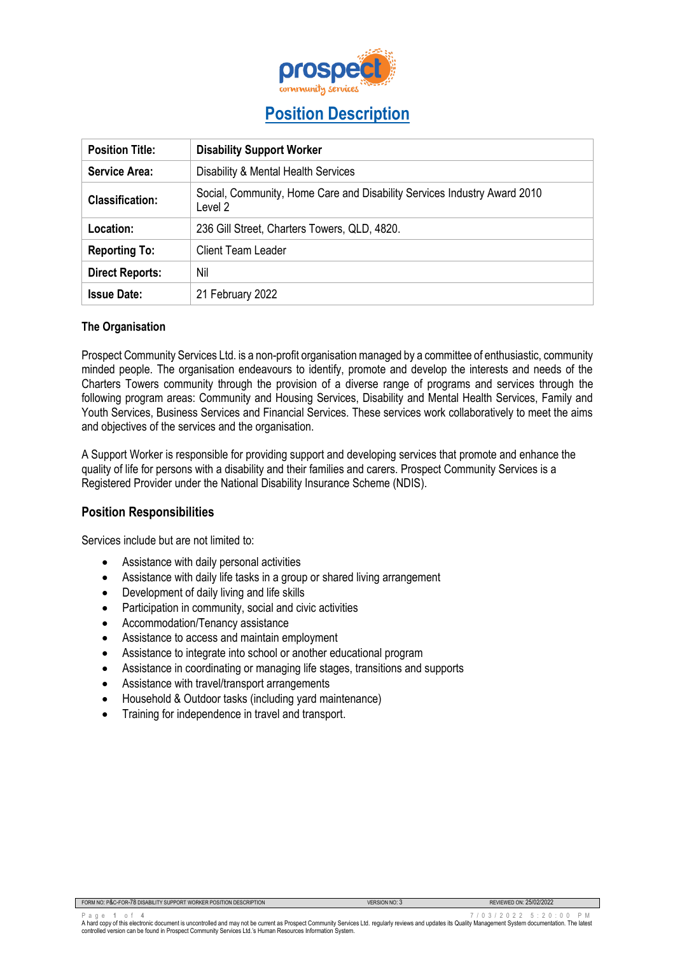

# **Position Description**

| <b>Position Title:</b> | <b>Disability Support Worker</b>                                                    |  |  |
|------------------------|-------------------------------------------------------------------------------------|--|--|
| Service Area:          | Disability & Mental Health Services                                                 |  |  |
| <b>Classification:</b> | Social, Community, Home Care and Disability Services Industry Award 2010<br>Level 2 |  |  |
| Location:              | 236 Gill Street, Charters Towers, QLD, 4820.                                        |  |  |
| <b>Reporting To:</b>   | <b>Client Team Leader</b>                                                           |  |  |
| <b>Direct Reports:</b> | Nil                                                                                 |  |  |
| <b>Issue Date:</b>     | 21 February 2022                                                                    |  |  |

## **The Organisation**

Prospect Community Services Ltd. is a non-profit organisation managed by a committee of enthusiastic, community minded people. The organisation endeavours to identify, promote and develop the interests and needs of the Charters Towers community through the provision of a diverse range of programs and services through the following program areas: Community and Housing Services, Disability and Mental Health Services, Family and Youth Services, Business Services and Financial Services. These services work collaboratively to meet the aims and objectives of the services and the organisation.

A Support Worker is responsible for providing support and developing services that promote and enhance the quality of life for persons with a disability and their families and carers. Prospect Community Services is a Registered Provider under the National Disability Insurance Scheme (NDIS).

## **Position Responsibilities**

Services include but are not limited to:

- Assistance with daily personal activities
- Assistance with daily life tasks in a group or shared living arrangement
- Development of daily living and life skills
- Participation in community, social and civic activities
- Accommodation/Tenancy assistance
- Assistance to access and maintain employment
- Assistance to integrate into school or another educational program
- Assistance in coordinating or managing life stages, transitions and supports
- Assistance with travel/transport arrangements
- Household & Outdoor tasks (including yard maintenance)
- Training for independence in travel and transport.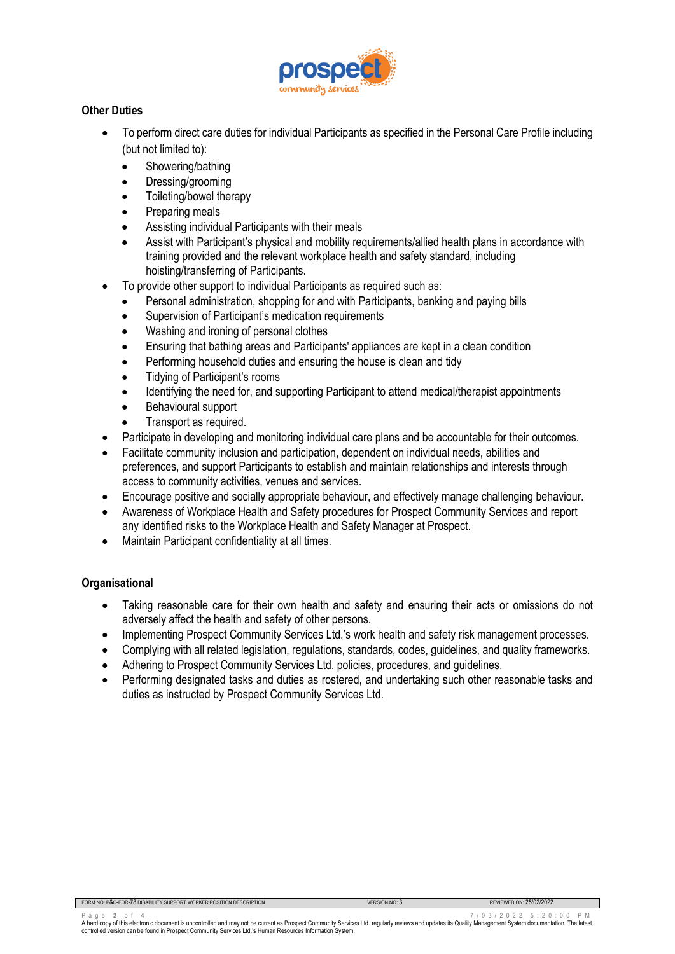

# **Other Duties**

- To perform direct care duties for individual Participants as specified in the Personal Care Profile including (but not limited to):
	- Showering/bathing
	- Dressing/grooming
	- Toileting/bowel therapy
	- Preparing meals
	- Assisting individual Participants with their meals
	- Assist with Participant's physical and mobility requirements/allied health plans in accordance with training provided and the relevant workplace health and safety standard, including hoisting/transferring of Participants.
- To provide other support to individual Participants as required such as:
	- Personal administration, shopping for and with Participants, banking and paying bills
	- Supervision of Participant's medication requirements
	- Washing and ironing of personal clothes
	- Ensuring that bathing areas and Participants' appliances are kept in a clean condition
	- Performing household duties and ensuring the house is clean and tidy
	- Tidying of Participant's rooms
	- Identifying the need for, and supporting Participant to attend medical/therapist appointments
	- Behavioural support
	- Transport as required.
- Participate in developing and monitoring individual care plans and be accountable for their outcomes.
- Facilitate community inclusion and participation, dependent on individual needs, abilities and preferences, and support Participants to establish and maintain relationships and interests through access to community activities, venues and services.
- Encourage positive and socially appropriate behaviour, and effectively manage challenging behaviour.
- Awareness of Workplace Health and Safety procedures for Prospect Community Services and report any identified risks to the Workplace Health and Safety Manager at Prospect.
- Maintain Participant confidentiality at all times.

## **Organisational**

- Taking reasonable care for their own health and safety and ensuring their acts or omissions do not adversely affect the health and safety of other persons.
- Implementing Prospect Community Services Ltd.'s work health and safety risk management processes.
- Complying with all related legislation, regulations, standards, codes, guidelines, and quality frameworks.
- Adhering to Prospect Community Services Ltd. policies, procedures, and guidelines.
- Performing designated tasks and duties as rostered, and undertaking such other reasonable tasks and duties as instructed by Prospect Community Services Ltd.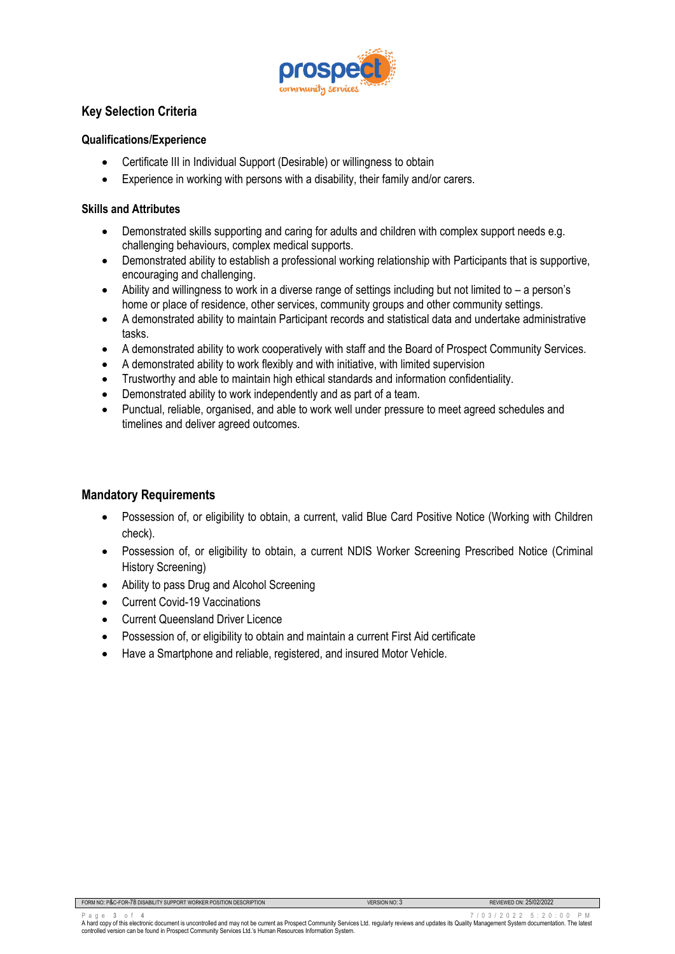

# **Key Selection Criteria**

#### **Qualifications/Experience**

- Certificate III in Individual Support (Desirable) or willingness to obtain
- Experience in working with persons with a disability, their family and/or carers.

#### **Skills and Attributes**

- Demonstrated skills supporting and caring for adults and children with complex support needs e.g. challenging behaviours, complex medical supports.
- Demonstrated ability to establish a professional working relationship with Participants that is supportive, encouraging and challenging.
- Ability and willingness to work in a diverse range of settings including but not limited to a person's home or place of residence, other services, community groups and other community settings.
- A demonstrated ability to maintain Participant records and statistical data and undertake administrative tasks.
- A demonstrated ability to work cooperatively with staff and the Board of Prospect Community Services.
- A demonstrated ability to work flexibly and with initiative, with limited supervision
- Trustworthy and able to maintain high ethical standards and information confidentiality.
- Demonstrated ability to work independently and as part of a team.
- Punctual, reliable, organised, and able to work well under pressure to meet agreed schedules and timelines and deliver agreed outcomes.

## **Mandatory Requirements**

- Possession of, or eligibility to obtain, a current, valid Blue Card Positive Notice (Working with Children check).
- Possession of, or eligibility to obtain, a current NDIS Worker Screening Prescribed Notice (Criminal History Screening)
- Ability to pass Drug and Alcohol Screening
- Current Covid-19 Vaccinations
- Current Queensland Driver Licence
- Possession of, or eligibility to obtain and maintain a current First Aid certificate
- Have a Smartphone and reliable, registered, and insured Motor Vehicle.

Page 3 of 4 0 2 2 5 : 20 0 PM<br>A hard copy of this electronic document is uncontrolled and may not be current as Prospect Community Services Ltd. regularly reviews and updates its Quality Management System documentation. Th